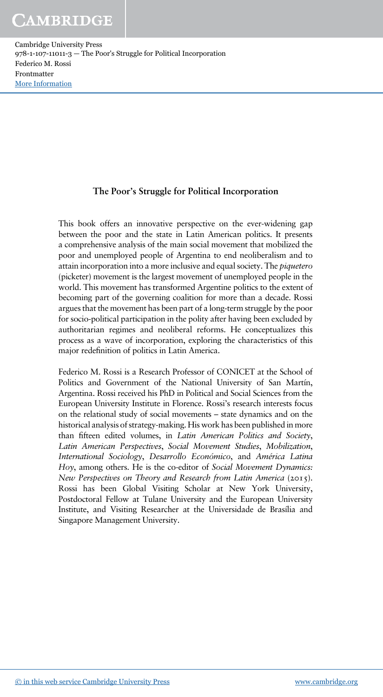### The Poor's Struggle for Political Incorporation

This book offers an innovative perspective on the ever-widening gap between the poor and the state in Latin American politics. It presents a comprehensive analysis of the main social movement that mobilized the poor and unemployed people of Argentina to end neoliberalism and to attain incorporation into a more inclusive and equal society. The *piquetero* (picketer) movement is the largest movement of unemployed people in the world. This movement has transformed Argentine politics to the extent of becoming part of the governing coalition for more than a decade. Rossi argues that the movement has been part of a long-term struggle by the poor for socio-political participation in the polity after having been excluded by authoritarian regimes and neoliberal reforms. He conceptualizes this process as a wave of incorporation, exploring the characteristics of this major redefinition of politics in Latin America.

Federico M. Rossi is a Research Professor of CONICET at the School of Politics and Government of the National University of San Martín, Argentina. Rossi received his PhD in Political and Social Sciences from the European University Institute in Florence. Rossi's research interests focus on the relational study of social movements – state dynamics and on the historical analysis of strategy-making. His work has been published in more than fifteen edited volumes, in Latin American Politics and Society, Latin American Perspectives, Social Movement Studies, Mobilization, International Sociology, Desarrollo Económico, and América Latina Hoy, among others. He is the co-editor of Social Movement Dynamics: New Perspectives on Theory and Research from Latin America (2015). Rossi has been Global Visiting Scholar at New York University, Postdoctoral Fellow at Tulane University and the European University Institute, and Visiting Researcher at the Universidade de Brasília and Singapore Management University.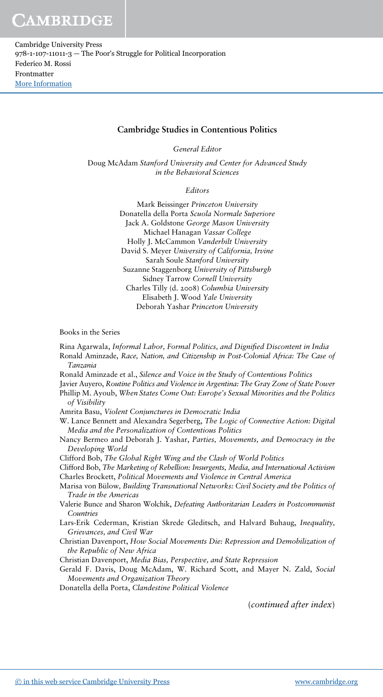Cambridge University Press 978-1-107-11011-3 — The Poor's Struggle for Political Incorporation Federico M. Rossi Frontmatter [More Information](www.cambridge.org/9781107110113)

#### Cambridge Studies in Contentious Politics

General Editor

Doug McAdam Stanford University and Center for Advanced Study in the Behavioral Sciences

Editors

Mark Beissinger Princeton University Donatella della Porta Scuola Normale Superiore Jack A. Goldstone George Mason University Michael Hanagan Vassar College Holly J. McCammon Vanderbilt University David S. Meyer University of California, Irvine Sarah Soule Stanford University Suzanne Staggenborg University of Pittsburgh Sidney Tarrow Cornell University Charles Tilly (d. 2008) Columbia University Elisabeth J. Wood Yale University Deborah Yashar Princeton University

Books in the Series

- Rina Agarwala, Informal Labor, Formal Politics, and Dignified Discontent in India Ronald Aminzade, Race, Nation, and Citizenship in Post-Colonial Africa: The Case of Tanzania
- Ronald Aminzade et al., Silence and Voice in the Study of Contentious Politics
- Javier Auyero, Routine Politics and Violence in Argentina: The Gray Zone of State Power
- Phillip M. Ayoub, When States Come Out: Europe's Sexual Minorities and the Politics of Visibility
- Amrita Basu, Violent Conjunctures in Democratic India
- W. Lance Bennett and Alexandra Segerberg, The Logic of Connective Action: Digital Media and the Personalization of Contentious Politics
- Nancy Bermeo and Deborah J. Yashar, Parties, Movements, and Democracy in the Developing World
- Clifford Bob, The Global Right Wing and the Clash of World Politics

Clifford Bob, The Marketing of Rebellion: Insurgents, Media, and International Activism Charles Brockett, Political Movements and Violence in Central America

- Marisa von Bülow, Building Transnational Networks: Civil Society and the Politics of Trade in the Americas
- Valerie Bunce and Sharon Wolchik, Defeating Authoritarian Leaders in Postcommunist Countries
- Lars-Erik Cederman, Kristian Skrede Gleditsch, and Halvard Buhaug, Inequality, Grievances, and Civil War
- Christian Davenport, How Social Movements Die: Repression and Demobilization of the Republic of New Africa
- Christian Davenport, Media Bias, Perspective, and State Repression
- Gerald F. Davis, Doug McAdam, W. Richard Scott, and Mayer N. Zald, Social Movements and Organization Theory
- Donatella della Porta, Clandestine Political Violence

(continued after index)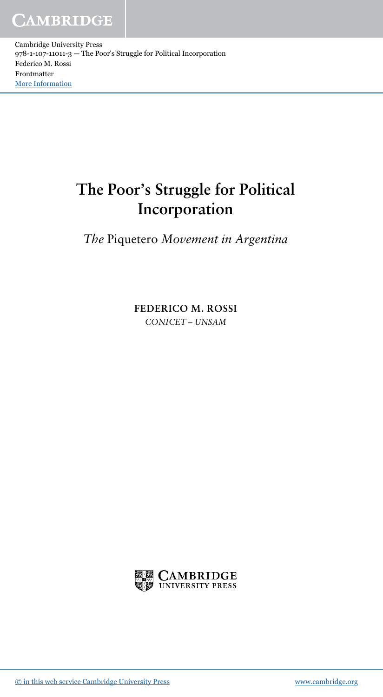# The Poor's Struggle for Political Incorporation

The Piquetero Movement in Argentina

FEDERICO M. ROSSI CONICET – UNSAM

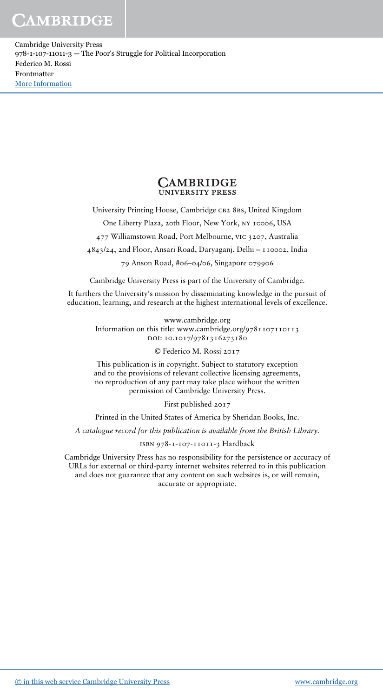### **CAMBRIDGE UNIVERSITY PRESS**

University Printing House, Cambridge CB2 8BS, United Kingdom

One Liberty Plaza, 20th Floor, New York, ny 10006, USA

477 Williamstown Road, Port Melbourne, vic 3207, Australia

4843/24, 2nd Floor, Ansari Road, Daryaganj, Delhi – 110002, India

79 Anson Road, #06–04/06, Singapore 079906

Cambridge University Press is part of the University of Cambridge.

It furthers the University's mission by disseminating knowledge in the pursuit of education, learning, and research at the highest international levels of excellence.

> www.cambridge.org Information on this title: www.cambridge.org/9781107110113 doi: 10.1017/9781316273180

> > © Federico M. Rossi 2017

This publication is in copyright. Subject to statutory exception and to the provisions of relevant collective licensing agreements, no reproduction of any part may take place without the written permission of Cambridge University Press.

First published 2017

Printed in the United States of America by Sheridan Books, Inc.

A catalogue record for this publication is available from the British Library.

isbn 978-1-107-11011-3 Hardback

Cambridge University Press has no responsibility for the persistence or accuracy of URLs for external or third-party internet websites referred to in this publication and does not guarantee that any content on such websites is, or will remain, accurate or appropriate.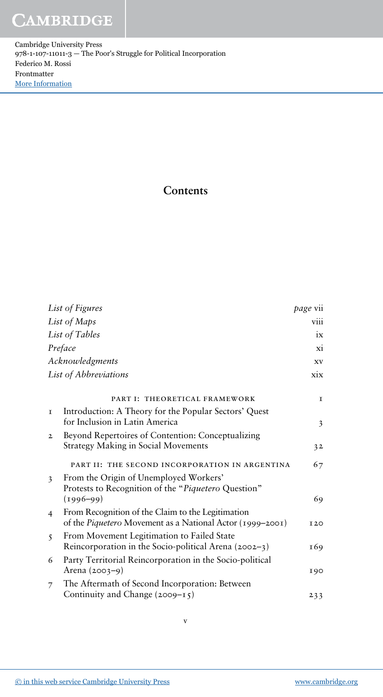### Contents

|                         | List of Figures                                                                                                | <i>page</i> vii |
|-------------------------|----------------------------------------------------------------------------------------------------------------|-----------------|
|                         | List of Maps                                                                                                   | viii            |
|                         | List of Tables                                                                                                 | $\overline{1}x$ |
|                         | Preface                                                                                                        | X1              |
|                         | Acknowledgments                                                                                                | XV              |
|                         | List of Abbreviations                                                                                          | xix             |
|                         | PART I: THEORETICAL FRAMEWORK                                                                                  | $\mathbf I$     |
| T                       | Introduction: A Theory for the Popular Sectors' Quest<br>for Inclusion in Latin America                        | 3               |
| $\mathbf{2}$            | Beyond Repertoires of Contention: Conceptualizing<br><b>Strategy Making in Social Movements</b>                | 32              |
|                         | PART II: THE SECOND INCORPORATION IN ARGENTINA                                                                 | 67              |
| $\overline{\mathbf{3}}$ | From the Origin of Unemployed Workers'<br>Protests to Recognition of the "Piquetero Question"                  |                 |
|                         | $(1996 - 99)$                                                                                                  | 69              |
| $\overline{4}$          | From Recognition of the Claim to the Legitimation<br>of the Piquetero Movement as a National Actor (1999–2001) | 120             |
| $\overline{5}$          | From Movement Legitimation to Failed State<br>Reincorporation in the Socio-political Arena $(2002-3)$          | I <sub>69</sub> |
| 6                       | Party Territorial Reincorporation in the Socio-political<br>Arena $(2003-9)$                                   | 190             |
| 7                       | The Aftermath of Second Incorporation: Between<br>Continuity and Change (2009-15)                              | 233             |
|                         |                                                                                                                |                 |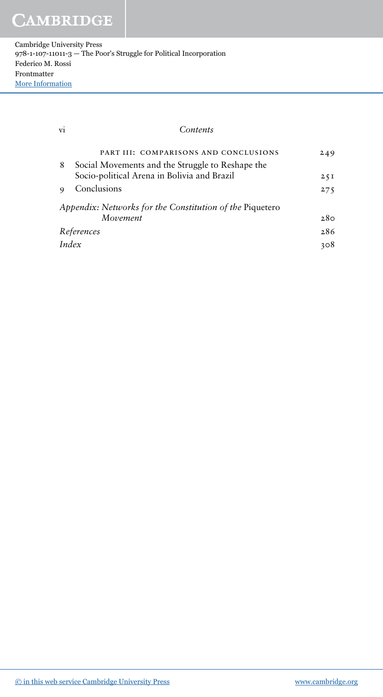| vi         | Contents                                                 |     |
|------------|----------------------------------------------------------|-----|
|            | PART III: COMPARISONS AND CONCLUSIONS                    | 249 |
| 8          | Social Movements and the Struggle to Reshape the         |     |
|            | Socio-political Arena in Bolivia and Brazil              | 25I |
| q          | Conclusions                                              | 275 |
|            | Appendix: Networks for the Constitution of the Piquetero |     |
|            | Movement                                                 | 280 |
| References |                                                          | 286 |
| Index      |                                                          | 308 |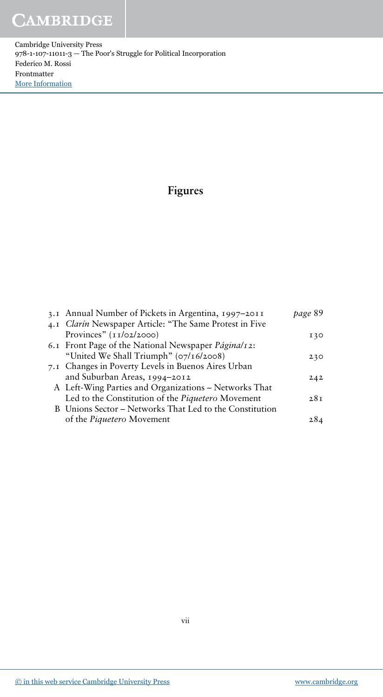## Figures

| 4.1 Clarín Newspaper Article: "The Same Protest in Five<br>Provinces" $(11/02/2000)$<br>6.1 Front Page of the National Newspaper <i>Página/12</i> :<br>"United We Shall Triumph" (07/16/2008)<br>7.1 Changes in Poverty Levels in Buenos Aires Urban<br>and Suburban Areas, 1994-2012<br>A Left-Wing Parties and Organizations - Networks That<br>Led to the Constitution of the Piquetero Movement<br>B Unions Sector - Networks That Led to the Constitution<br>of the <i>Piquetero</i> Movement | 3.1 Annual Number of Pickets in Argentina, 1997–2011 | page 89         |
|----------------------------------------------------------------------------------------------------------------------------------------------------------------------------------------------------------------------------------------------------------------------------------------------------------------------------------------------------------------------------------------------------------------------------------------------------------------------------------------------------|------------------------------------------------------|-----------------|
|                                                                                                                                                                                                                                                                                                                                                                                                                                                                                                    |                                                      |                 |
|                                                                                                                                                                                                                                                                                                                                                                                                                                                                                                    |                                                      | 130             |
|                                                                                                                                                                                                                                                                                                                                                                                                                                                                                                    |                                                      |                 |
|                                                                                                                                                                                                                                                                                                                                                                                                                                                                                                    |                                                      | 230             |
|                                                                                                                                                                                                                                                                                                                                                                                                                                                                                                    |                                                      |                 |
|                                                                                                                                                                                                                                                                                                                                                                                                                                                                                                    |                                                      | 242             |
|                                                                                                                                                                                                                                                                                                                                                                                                                                                                                                    |                                                      |                 |
|                                                                                                                                                                                                                                                                                                                                                                                                                                                                                                    |                                                      | 28 <sub>T</sub> |
|                                                                                                                                                                                                                                                                                                                                                                                                                                                                                                    |                                                      |                 |
|                                                                                                                                                                                                                                                                                                                                                                                                                                                                                                    |                                                      |                 |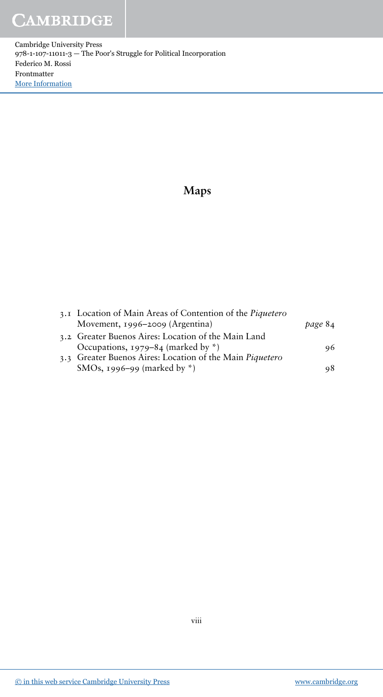## Maps

| 3.1 Location of Main Areas of Contention of the Piquetero<br>Movement, 1996–2009 (Argentina) | page 84 |
|----------------------------------------------------------------------------------------------|---------|
| 3.2 Greater Buenos Aires: Location of the Main Land                                          |         |
| Occupations, $1979-84$ (marked by $*$ )                                                      | 96      |
| 3.3 Greater Buenos Aires: Location of the Main Piquetero                                     |         |
| SMOs, 1996–99 (marked by $*$ )                                                               | 98      |
|                                                                                              |         |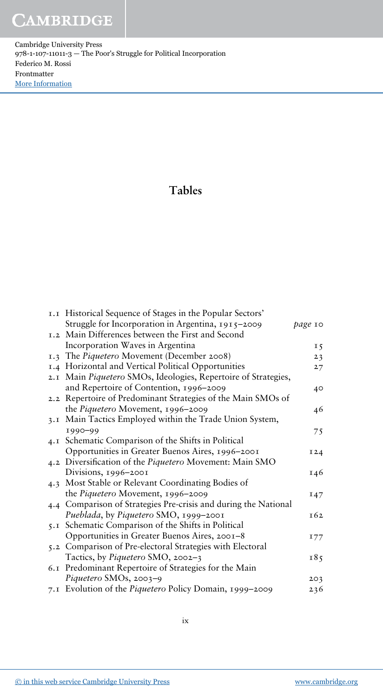## Tables

|     | 1.1 Historical Sequence of Stages in the Popular Sectors'       |                 |
|-----|-----------------------------------------------------------------|-----------------|
|     | Struggle for Incorporation in Argentina, 1915-2009              | page 10         |
|     | 1.2 Main Differences between the First and Second               |                 |
|     | Incorporation Waves in Argentina                                | $I\vert 5$      |
|     | 1.3 The <i>Piquetero</i> Movement (December 2008)               | 23              |
|     | 1.4 Horizontal and Vertical Political Opportunities             | 27              |
|     | 2.1 Main Piquetero SMOs, Ideologies, Repertoire of Strategies,  |                 |
|     | and Repertoire of Contention, 1996-2009                         | 40              |
|     | 2.2 Repertoire of Predominant Strategies of the Main SMOs of    |                 |
|     | the Piquetero Movement, 1996-2009                               | 46              |
|     | 3.1 Main Tactics Employed within the Trade Union System,        |                 |
|     | 1990-99                                                         | 75              |
|     | 4.1 Schematic Comparison of the Shifts in Political             |                 |
|     | Opportunities in Greater Buenos Aires, 1996-2001                | I24             |
|     | 4.2 Diversification of the Piquetero Movement: Main SMO         |                 |
|     | Divisions, $1996 - 2001$                                        | 146             |
| 4.3 | Most Stable or Relevant Coordinating Bodies of                  |                 |
|     | the Piquetero Movement, 1996-2009                               | I47             |
|     | 4.4 Comparison of Strategies Pre-crisis and during the National |                 |
|     | Pueblada, by Piquetero SMO, 1999-2001                           | T <sub>62</sub> |
| 5.1 | Schematic Comparison of the Shifts in Political                 |                 |
|     | Opportunities in Greater Buenos Aires, 2001-8                   | I77             |
|     | 5.2 Comparison of Pre-electoral Strategies with Electoral       |                 |
|     | Tactics, by Piquetero SMO, 2002-3                               | 185             |
|     | 6.1 Predominant Repertoire of Strategies for the Main           |                 |
|     | Piquetero SMOs, 2003-9                                          | 203             |
|     | 7.1 Evolution of the Piquetero Policy Domain, 1999–2009         | 236             |
|     |                                                                 |                 |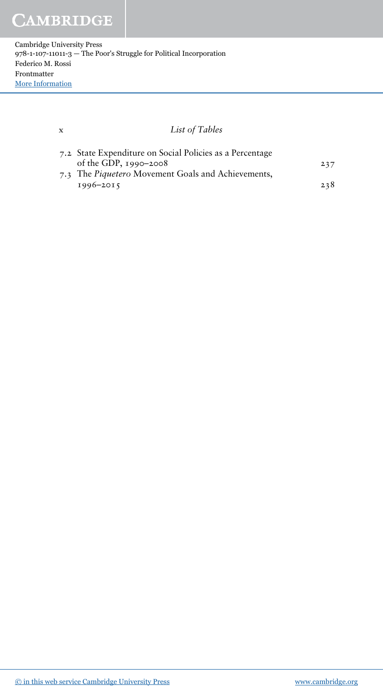| 7.2 State Expenditure on Social Policies as a Percentage  |     |
|-----------------------------------------------------------|-----|
| of the GDP, 1990-2008                                     | 237 |
| 7.3 The <i>Piquetero</i> Movement Goals and Achievements, |     |
| $1996 - 2015$                                             | 238 |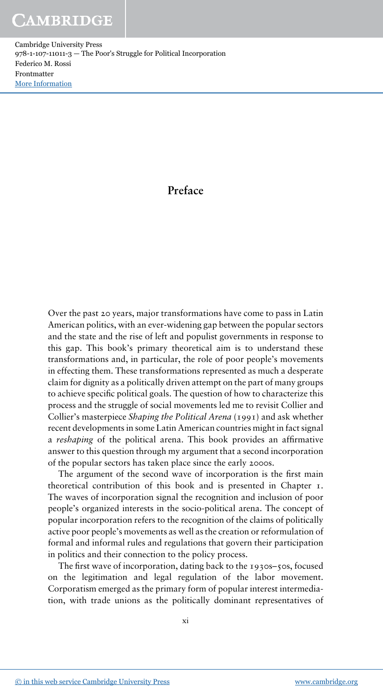### Preface

Over the past 20 years, major transformations have come to pass in Latin American politics, with an ever-widening gap between the popular sectors and the state and the rise of left and populist governments in response to this gap. This book's primary theoretical aim is to understand these transformations and, in particular, the role of poor people's movements in effecting them. These transformations represented as much a desperate claim for dignity as a politically driven attempt on the part of many groups to achieve specific political goals. The question of how to characterize this process and the struggle of social movements led me to revisit Collier and Collier's masterpiece Shaping the Political Arena (1991) and ask whether recent developments in some Latin American countries might in fact signal a *reshaping* of the political arena. This book provides an affirmative answer to this question through my argument that a second incorporation of the popular sectors has taken place since the early 2000s.

The argument of the second wave of incorporation is the first main theoretical contribution of this book and is presented in Chapter 1. The waves of incorporation signal the recognition and inclusion of poor people's organized interests in the socio-political arena. The concept of popular incorporation refers to the recognition of the claims of politically active poor people's movements as well as the creation or reformulation of formal and informal rules and regulations that govern their participation in politics and their connection to the policy process.

The first wave of incorporation, dating back to the 1930s–50s, focused on the legitimation and legal regulation of the labor movement. Corporatism emerged as the primary form of popular interest intermediation, with trade unions as the politically dominant representatives of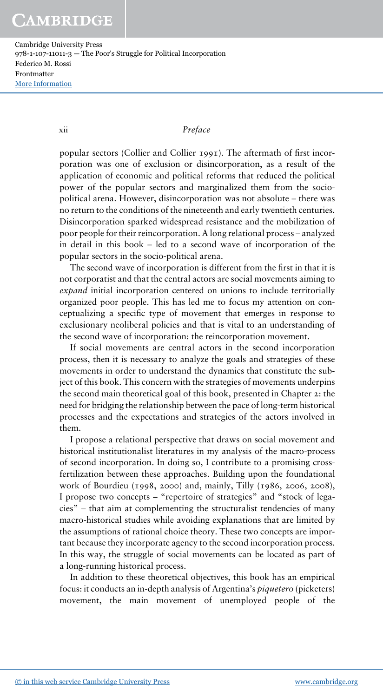Cambridge University Press 978-1-107-11011-3 — The Poor's Struggle for Political Incorporation Federico M. Rossi Frontmatter [More Information](www.cambridge.org/9781107110113)

#### xii Preface

popular sectors (Collier and Collier 1991). The aftermath of first incorporation was one of exclusion or disincorporation, as a result of the application of economic and political reforms that reduced the political power of the popular sectors and marginalized them from the sociopolitical arena. However, disincorporation was not absolute – there was no return to the conditions of the nineteenth and early twentieth centuries. Disincorporation sparked widespread resistance and the mobilization of poor people for their reincorporation. A long relational process – analyzed in detail in this book – led to a second wave of incorporation of the popular sectors in the socio-political arena.

The second wave of incorporation is different from the first in that it is not corporatist and that the central actors are social movements aiming to expand initial incorporation centered on unions to include territorially organized poor people. This has led me to focus my attention on conceptualizing a specific type of movement that emerges in response to exclusionary neoliberal policies and that is vital to an understanding of the second wave of incorporation: the reincorporation movement.

If social movements are central actors in the second incorporation process, then it is necessary to analyze the goals and strategies of these movements in order to understand the dynamics that constitute the subject of this book. This concern with the strategies of movements underpins the second main theoretical goal of this book, presented in Chapter 2: the need for bridging the relationship between the pace of long-term historical processes and the expectations and strategies of the actors involved in them.

I propose a relational perspective that draws on social movement and historical institutionalist literatures in my analysis of the macro-process of second incorporation. In doing so, I contribute to a promising crossfertilization between these approaches. Building upon the foundational work of Bourdieu (1998, 2000) and, mainly, Tilly (1986, 2006, 2008), I propose two concepts – "repertoire of strategies" and "stock of legacies" – that aim at complementing the structuralist tendencies of many macro-historical studies while avoiding explanations that are limited by the assumptions of rational choice theory. These two concepts are important because they incorporate agency to the second incorporation process. In this way, the struggle of social movements can be located as part of a long-running historical process.

In addition to these theoretical objectives, this book has an empirical focus: it conducts an in-depth analysis of Argentina's piquetero (picketers) movement, the main movement of unemployed people of the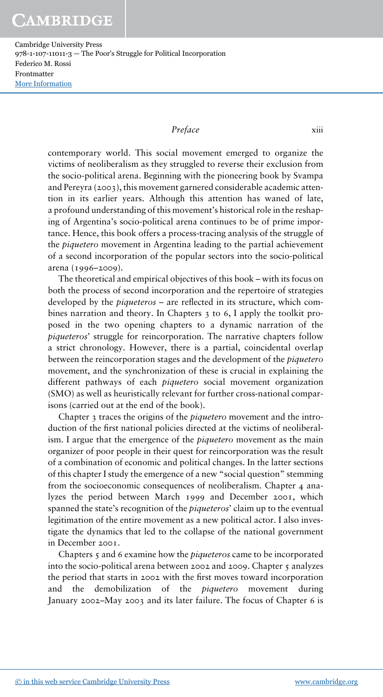Cambridge University Press 978-1-107-11011-3 — The Poor's Struggle for Political Incorporation Federico M. Rossi Frontmatter [More Information](www.cambridge.org/9781107110113)

### Preface xiii

contemporary world. This social movement emerged to organize the victims of neoliberalism as they struggled to reverse their exclusion from the socio-political arena. Beginning with the pioneering book by Svampa and Pereyra (2003), this movement garnered considerable academic attention in its earlier years. Although this attention has waned of late, a profound understanding of this movement's historical role in the reshaping of Argentina's socio-political arena continues to be of prime importance. Hence, this book offers a process-tracing analysis of the struggle of the *piquetero* movement in Argentina leading to the partial achievement of a second incorporation of the popular sectors into the socio-political arena (1996–2009).

The theoretical and empirical objectives of this book – with its focus on both the process of second incorporation and the repertoire of strategies developed by the piqueteros – are reflected in its structure, which combines narration and theory. In Chapters 3 to 6, I apply the toolkit proposed in the two opening chapters to a dynamic narration of the piqueteros' struggle for reincorporation. The narrative chapters follow a strict chronology. However, there is a partial, coincidental overlap between the reincorporation stages and the development of the *piquetero* movement, and the synchronization of these is crucial in explaining the different pathways of each *piquetero* social movement organization (SMO) as well as heuristically relevant for further cross-national comparisons (carried out at the end of the book).

Chapter 3 traces the origins of the *piquetero* movement and the introduction of the first national policies directed at the victims of neoliberalism. I argue that the emergence of the *piquetero* movement as the main organizer of poor people in their quest for reincorporation was the result of a combination of economic and political changes. In the latter sections of this chapter I study the emergence of a new "social question" stemming from the socioeconomic consequences of neoliberalism. Chapter 4 analyzes the period between March 1999 and December 2001, which spanned the state's recognition of the *piqueteros*' claim up to the eventual legitimation of the entire movement as a new political actor. I also investigate the dynamics that led to the collapse of the national government in December 2001.

Chapters 5 and 6 examine how the *piqueteros* came to be incorporated into the socio-political arena between 2002 and 2009. Chapter 5 analyzes the period that starts in 2002 with the first moves toward incorporation and the demobilization of the piquetero movement during January 2002–May 2003 and its later failure. The focus of Chapter 6 is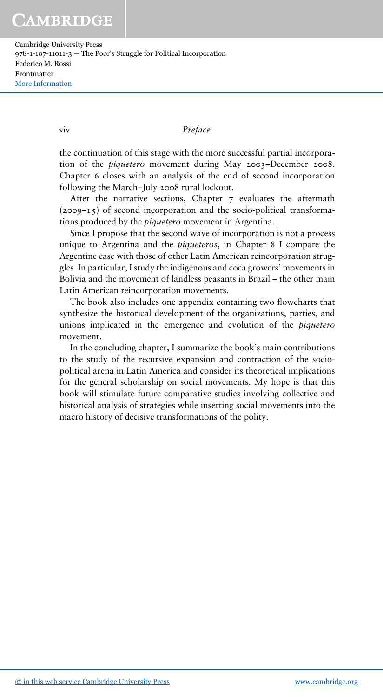Cambridge University Press 978-1-107-11011-3 — The Poor's Struggle for Political Incorporation Federico M. Rossi Frontmatter [More Information](www.cambridge.org/9781107110113)

### xiv Preface

the continuation of this stage with the more successful partial incorporation of the piquetero movement during May 2003–December 2008. Chapter 6 closes with an analysis of the end of second incorporation following the March–July 2008 rural lockout.

After the narrative sections, Chapter 7 evaluates the aftermath (2009–15) of second incorporation and the socio-political transformations produced by the piquetero movement in Argentina.

Since I propose that the second wave of incorporation is not a process unique to Argentina and the piqueteros, in Chapter 8 I compare the Argentine case with those of other Latin American reincorporation struggles. In particular, I study the indigenous and coca growers' movements in Bolivia and the movement of landless peasants in Brazil – the other main Latin American reincorporation movements.

The book also includes one appendix containing two flowcharts that synthesize the historical development of the organizations, parties, and unions implicated in the emergence and evolution of the piquetero movement.

In the concluding chapter, I summarize the book's main contributions to the study of the recursive expansion and contraction of the sociopolitical arena in Latin America and consider its theoretical implications for the general scholarship on social movements. My hope is that this book will stimulate future comparative studies involving collective and historical analysis of strategies while inserting social movements into the macro history of decisive transformations of the polity.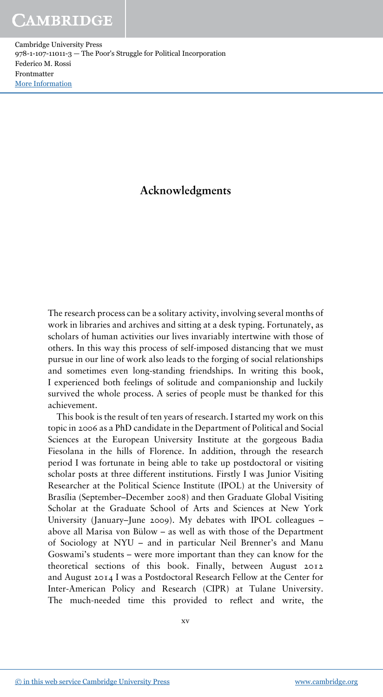## Acknowledgments

The research process can be a solitary activity, involving several months of work in libraries and archives and sitting at a desk typing. Fortunately, as scholars of human activities our lives invariably intertwine with those of others. In this way this process of self-imposed distancing that we must pursue in our line of work also leads to the forging of social relationships and sometimes even long-standing friendships. In writing this book, I experienced both feelings of solitude and companionship and luckily survived the whole process. A series of people must be thanked for this achievement.

This book is the result of ten years of research. I started my work on this topic in 2006 as a PhD candidate in the Department of Political and Social Sciences at the European University Institute at the gorgeous Badia Fiesolana in the hills of Florence. In addition, through the research period I was fortunate in being able to take up postdoctoral or visiting scholar posts at three different institutions. Firstly I was Junior Visiting Researcher at the Political Science Institute (IPOL) at the University of Brasília (September–December 2008) and then Graduate Global Visiting Scholar at the Graduate School of Arts and Sciences at New York University (January–June 2009). My debates with IPOL colleagues – above all Marisa von Bülow – as well as with those of the Department of Sociology at NYU – and in particular Neil Brenner's and Manu Goswami's students – were more important than they can know for the theoretical sections of this book. Finally, between August 2012 and August 2014 I was a Postdoctoral Research Fellow at the Center for Inter-American Policy and Research (CIPR) at Tulane University. The much-needed time this provided to reflect and write, the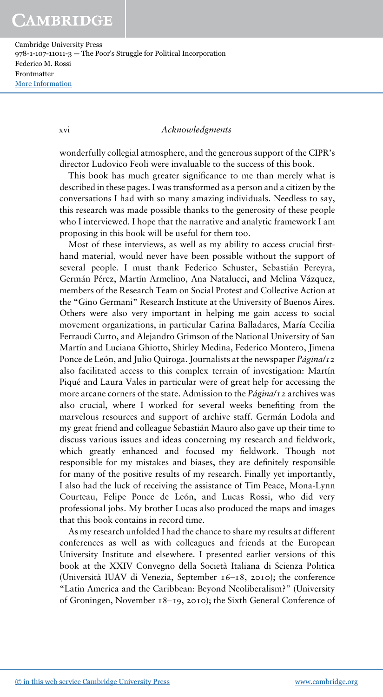Cambridge University Press 978-1-107-11011-3 — The Poor's Struggle for Political Incorporation Federico M. Rossi Frontmatter [More Information](www.cambridge.org/9781107110113)

#### xvi Acknowledgments

wonderfully collegial atmosphere, and the generous support of the CIPR's director Ludovico Feoli were invaluable to the success of this book.

This book has much greater significance to me than merely what is described in these pages. I was transformed as a person and a citizen by the conversations I had with so many amazing individuals. Needless to say, this research was made possible thanks to the generosity of these people who I interviewed. I hope that the narrative and analytic framework I am proposing in this book will be useful for them too.

Most of these interviews, as well as my ability to access crucial firsthand material, would never have been possible without the support of several people. I must thank Federico Schuster, Sebastián Pereyra, Germán Pérez, Martín Armelino, Ana Natalucci, and Melina Vázquez, members of the Research Team on Social Protest and Collective Action at the "Gino Germani" Research Institute at the University of Buenos Aires. Others were also very important in helping me gain access to social movement organizations, in particular Carina Balladares, María Cecilia Ferraudi Curto, and Alejandro Grimson of the National University of San Martín and Luciana Ghiotto, Shirley Medina, Federico Montero, Jimena Ponce de León, and Julio Quiroga. Journalists at the newspaper Página/*12* also facilitated access to this complex terrain of investigation: Martín Piqué and Laura Vales in particular were of great help for accessing the more arcane corners of the state. Admission to the Página/*12* archives was also crucial, where I worked for several weeks benefiting from the marvelous resources and support of archive staff. Germán Lodola and my great friend and colleague Sebastián Mauro also gave up their time to discuss various issues and ideas concerning my research and fieldwork, which greatly enhanced and focused my fieldwork. Though not responsible for my mistakes and biases, they are definitely responsible for many of the positive results of my research. Finally yet importantly, I also had the luck of receiving the assistance of Tim Peace, Mona-Lynn Courteau, Felipe Ponce de León, and Lucas Rossi, who did very professional jobs. My brother Lucas also produced the maps and images that this book contains in record time.

As my research unfolded I had the chance to share my results at different conferences as well as with colleagues and friends at the European University Institute and elsewhere. I presented earlier versions of this book at the XXIV Convegno della Società Italiana di Scienza Politica (Università IUAV di Venezia, September 16–18, 2010); the conference "Latin America and the Caribbean: Beyond Neoliberalism?" (University of Groningen, November 18–19, 2010); the Sixth General Conference of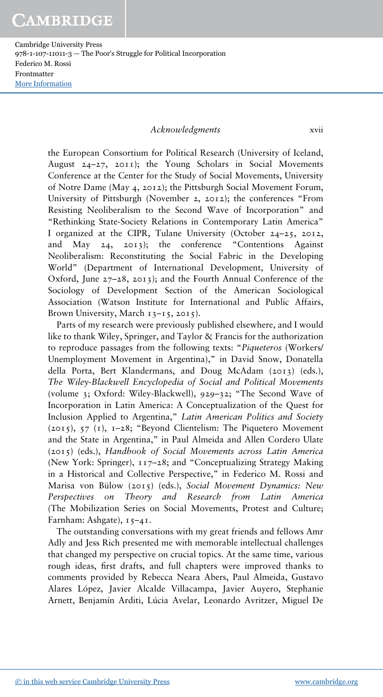### Acknowledgments xvii

the European Consortium for Political Research (University of Iceland, August 24–27, 2011); the Young Scholars in Social Movements Conference at the Center for the Study of Social Movements, University of Notre Dame (May 4, 2012); the Pittsburgh Social Movement Forum, University of Pittsburgh (November 2, 2012); the conferences "From Resisting Neoliberalism to the Second Wave of Incorporation" and "Rethinking State-Society Relations in Contemporary Latin America" I organized at the CIPR, Tulane University (October 24–25, 2012, and May 24, 2013); the conference "Contentions Against Neoliberalism: Reconstituting the Social Fabric in the Developing World" (Department of International Development, University of Oxford, June 27–28, 2013); and the Fourth Annual Conference of the Sociology of Development Section of the American Sociological Association (Watson Institute for International and Public Affairs, Brown University, March  $13-15$ , 2015).

Parts of my research were previously published elsewhere, and I would like to thank Wiley, Springer, and Taylor & Francis for the authorization to reproduce passages from the following texts: "Piqueteros (Workers/ Unemployment Movement in Argentina)," in David Snow, Donatella della Porta, Bert Klandermans, and Doug McAdam (2013) (eds.), The Wiley-Blackwell Encyclopedia of Social and Political Movements (volume 3; Oxford: Wiley-Blackwell), 929–32; "The Second Wave of Incorporation in Latin America: A Conceptualization of the Quest for Inclusion Applied to Argentina," Latin American Politics and Society (2015), 57 (1), 1–28; "Beyond Clientelism: The Piquetero Movement and the State in Argentina," in Paul Almeida and Allen Cordero Ulate (2015) (eds.), Handbook of Social Movements across Latin America (New York: Springer), 117–28; and "Conceptualizing Strategy Making in a Historical and Collective Perspective," in Federico M. Rossi and Marisa von Bülow (2015) (eds.), Social Movement Dynamics: New Perspectives on Theory and Research from Latin America (The Mobilization Series on Social Movements, Protest and Culture; Farnham: Ashgate),  $15-41$ .

The outstanding conversations with my great friends and fellows Amr Adly and Jess Rich presented me with memorable intellectual challenges that changed my perspective on crucial topics. At the same time, various rough ideas, first drafts, and full chapters were improved thanks to comments provided by Rebecca Neara Abers, Paul Almeida, Gustavo Alares López, Javier Alcalde Villacampa, Javier Auyero, Stephanie Arnett, Benjamín Arditi, Lúcia Avelar, Leonardo Avritzer, Miguel De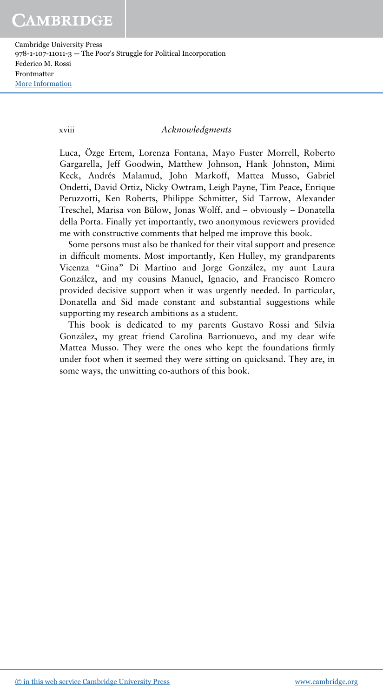Cambridge University Press 978-1-107-11011-3 — The Poor's Struggle for Political Incorporation Federico M. Rossi Frontmatter [More Information](www.cambridge.org/9781107110113)

#### xviii Acknowledgments

Luca, Özge Ertem, Lorenza Fontana, Mayo Fuster Morrell, Roberto Gargarella, Jeff Goodwin, Matthew Johnson, Hank Johnston, Mimi Keck, Andrés Malamud, John Markoff, Mattea Musso, Gabriel Ondetti, David Ortiz, Nicky Owtram, Leigh Payne, Tim Peace, Enrique Peruzzotti, Ken Roberts, Philippe Schmitter, Sid Tarrow, Alexander Treschel, Marisa von Bülow, Jonas Wolff, and – obviously – Donatella della Porta. Finally yet importantly, two anonymous reviewers provided me with constructive comments that helped me improve this book.

Some persons must also be thanked for their vital support and presence in difficult moments. Most importantly, Ken Hulley, my grandparents Vicenza "Gina" Di Martino and Jorge González, my aunt Laura González, and my cousins Manuel, Ignacio, and Francisco Romero provided decisive support when it was urgently needed. In particular, Donatella and Sid made constant and substantial suggestions while supporting my research ambitions as a student.

This book is dedicated to my parents Gustavo Rossi and Silvia González, my great friend Carolina Barrionuevo, and my dear wife Mattea Musso. They were the ones who kept the foundations firmly under foot when it seemed they were sitting on quicksand. They are, in some ways, the unwitting co-authors of this book.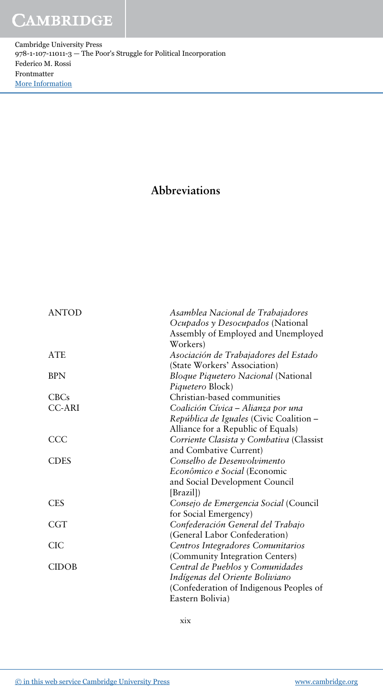## Abbreviations

| Asamblea Nacional de Trabajadores<br>Ocupados y Desocupados (National |
|-----------------------------------------------------------------------|
| Assembly of Employed and Unemployed                                   |
| Asociación de Trabajadores del Estado                                 |
|                                                                       |
| Bloque Piquetero Nacional (National                                   |
|                                                                       |
| Christian-based communities                                           |
| Coalición Cívica - Alianza por una                                    |
| República de Iguales (Civic Coalition –                               |
| Alliance for a Republic of Equals)                                    |
| Corriente Clasista y Combativa (Classist                              |
|                                                                       |
| Conselho de Desenvolvimento                                           |
| Econômico e Social (Economic                                          |
| and Social Development Council                                        |
|                                                                       |
| Consejo de Emergencia Social (Council                                 |
|                                                                       |
| Confederación General del Trabajo                                     |
| (General Labor Confederation)                                         |
| Centros Integradores Comunitarios                                     |
| (Community Integration Centers)                                       |
| Central de Pueblos y Comunidades                                      |
| Indígenas del Oriente Boliviano                                       |
| (Confederation of Indigenous Peoples of                               |
|                                                                       |
|                                                                       |

xix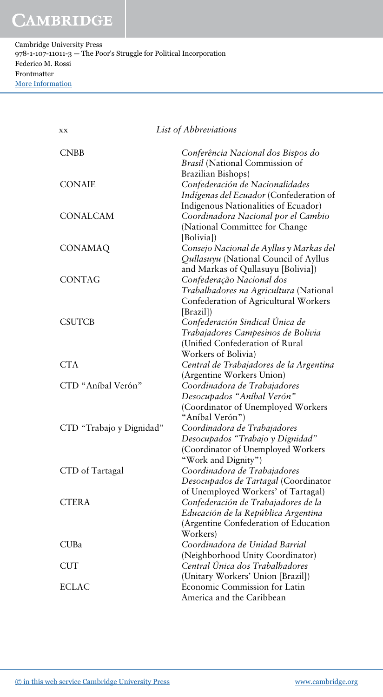| XX                       | List of Abbreviations                                 |
|--------------------------|-------------------------------------------------------|
| <b>CNBB</b>              | Conferência Nacional dos Bispos do                    |
|                          | Brasil (National Commission of                        |
|                          | Brazilian Bishops)                                    |
| <b>CONAIE</b>            | Confederación de Nacionalidades                       |
|                          | Indígenas del Ecuador (Confederation of               |
|                          | Indigenous Nationalities of Ecuador)                  |
| <b>CONALCAM</b>          | Coordinadora Nacional por el Cambio                   |
|                          | (National Committee for Change                        |
|                          | [Bolivia])                                            |
| CONAMAQ                  | Consejo Nacional de Ayllus y Markas del               |
|                          | Qullasuyu (National Council of Ayllus                 |
|                          | and Markas of Qullasuyu [Bolivia])                    |
| <b>CONTAG</b>            | Confederação Nacional dos                             |
|                          | Trabalhadores na Agricultura (National                |
|                          | Confederation of Agricultural Workers                 |
|                          | [Brazil]                                              |
| <b>CSUTCB</b>            | Confederación Sindical Única de                       |
|                          | Trabajadores Campesinos de Bolivia                    |
|                          | (Unified Confederation of Rural                       |
|                          | Workers of Bolivia)                                   |
| <b>CTA</b>               | Central de Trabajadores de la Argentina               |
| CTD "Aníbal Verón"       | (Argentine Workers Union)                             |
|                          | Coordinadora de Trabajadores                          |
|                          | Desocupados "Aníbal Verón"                            |
|                          | (Coordinator of Unemployed Workers<br>"Aníbal Verón") |
| CTD "Trabajo y Dignidad" | Coordinadora de Trabajadores                          |
|                          | Desocupados "Trabajo y Dignidad"                      |
|                          | (Coordinator of Unemployed Workers                    |
|                          | "Work and Dignity")                                   |
| CTD of Tartagal          | Coordinadora de Trabajadores                          |
|                          | Desocupados de Tartagal (Coordinator                  |
|                          | of Unemployed Workers' of Tartagal)                   |
| <b>CTERA</b>             | Confederación de Trabajadores de la                   |
|                          | Educación de la República Argentina                   |
|                          | (Argentine Confederation of Education                 |
|                          | Workers)                                              |
| <b>CUBa</b>              | Coordinadora de Unidad Barrial                        |
|                          | (Neighborhood Unity Coordinator)                      |
| <b>CUT</b>               | Central Única dos Trabalhadores                       |
|                          | (Unitary Workers' Union [Brazil])                     |
| <b>ECLAC</b>             | Economic Commission for Latin                         |
|                          | America and the Caribbean                             |
|                          |                                                       |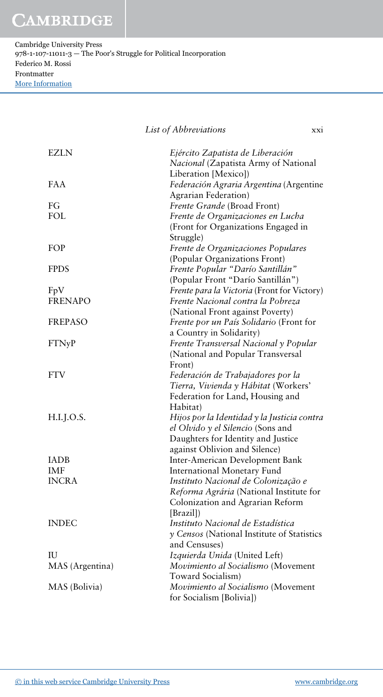> EZLN Ejército Zapatista de Liberación Nacional (Zapatista Army of National Liberation [Mexico]) FAA Federación Agraria Argentina (Argentine Agrarian Federation) FG Frente Grande (Broad Front) FOL Frente de Organizaciones en Lucha (Front for Organizations Engaged in Struggle) FOP Frente de Organizaciones Populares (Popular Organizations Front) FPDS Frente Popular "Darío Santillán" (Popular Front "Darío Santillán") FpV Frente para la Victoria (Front for Victory) FRENAPO Frente Nacional contra la Pobreza (National Front against Poverty) FREPASO Frente por un País Solidario (Front for a Country in Solidarity) FTNyP Frente Transversal Nacional y Popular (National and Popular Transversal Front) FTV Federación de Trabajadores por la Tierra, Vivienda y Hábitat (Workers' Federation for Land, Housing and Habitat) H.I.J.O.S. Hijos por la Identidad y la Justicia contra el Olvido y el Silencio (Sons and Daughters for Identity and Justice against Oblivion and Silence) IADB Inter-American Development Bank IMF **International Monetary Fund** INCRA Instituto Nacional de Colonização e Reforma Agrária (National Institute for Colonization and Agrarian Reform [Brazil]) INDEC Instituto Nacional de Estadística y Censos (National Institute of Statistics and Censuses) IU Izquierda Unida (United Left) MAS (Argentina) Movimiento al Socialismo (Movement Toward Socialism) MAS (Bolivia) Movimiento al Socialismo (Movement for Socialism [Bolivia]) List of Abbreviations xxi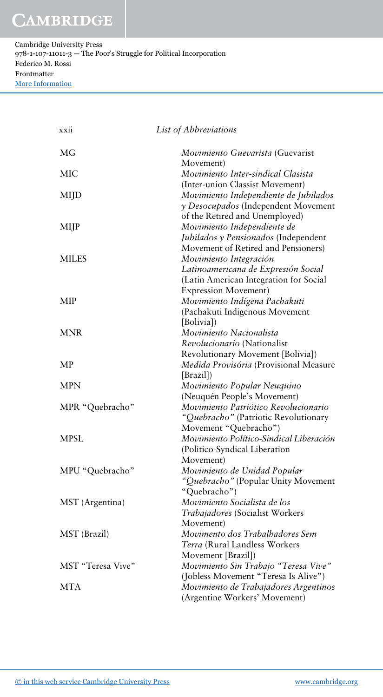| xxii              | List of Abbreviations                                                                                                                          |
|-------------------|------------------------------------------------------------------------------------------------------------------------------------------------|
| MG                | Movimiento Guevarista (Guevarist                                                                                                               |
| MIC               | Movement)<br>Movimiento Inter-sindical Clasista                                                                                                |
| MIJD              | (Inter-union Classist Movement)<br>Movimiento Independiente de Jubilados<br>y Desocupados (Independent Movement                                |
| <b>MIJP</b>       | of the Retired and Unemployed)<br>Movimiento Independiente de<br>Jubilados y Pensionados (Independent                                          |
| <b>MILES</b>      | Movement of Retired and Pensioners)<br>Movimiento Integración<br>Latinoamericana de Expresión Social<br>(Latin American Integration for Social |
| MIP               | <b>Expression Movement)</b><br>Movimiento Indígena Pachakuti<br>(Pachakuti Indigenous Movement                                                 |
| <b>MNR</b>        | [Bolivia])<br>Movimiento Nacionalista<br>Revolucionario (Nationalist                                                                           |
| MP                | Revolutionary Movement [Bolivia])<br>Medida Provisória (Provisional Measure<br>[Brazil]                                                        |
| <b>MPN</b>        | Movimiento Popular Neuquino                                                                                                                    |
| MPR "Quebracho"   | (Neuquén People's Movement)<br>Movimiento Patriótico Revolucionario<br>"Quebracho" (Patriotic Revolutionary                                    |
| <b>MPSL</b>       | Movement "Quebracho")<br>Movimiento Político-Sindical Liberación<br>(Politico-Syndical Liberation                                              |
| MPU "Quebracho"   | Movement)<br>Movimiento de Unidad Popular<br>"Quebracho" (Popular Unity Movement<br>"Quebracho")                                               |
| MST (Argentina)   | Movimiento Socialista de los<br>Trabajadores (Socialist Workers                                                                                |
| MST (Brazil)      | Movement)<br>Movimento dos Trabalhadores Sem<br>Terra (Rural Landless Workers                                                                  |
| MST "Teresa Vive" | Movement [Brazil])<br>Movimiento Sin Trabajo "Teresa Vive"<br>(Jobless Movement "Teresa Is Alive")                                             |
| <b>MTA</b>        | Movimiento de Trabajadores Argentinos<br>(Argentine Workers' Movement)                                                                         |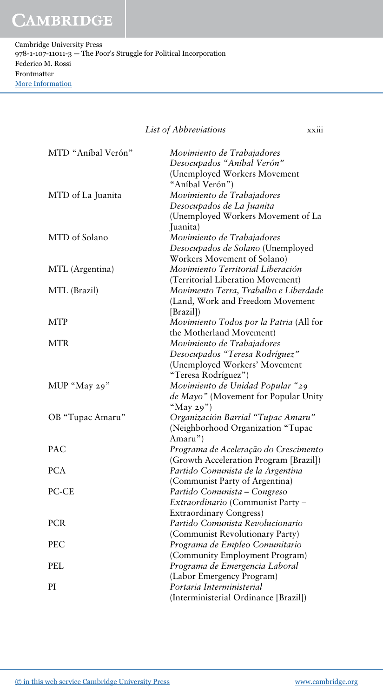Cambridge University Press 978-1-107-11011-3 — The Poor's Struggle for Political Incorporation Federico M. Rossi Frontmatter [More Information](www.cambridge.org/9781107110113)

List of Abbreviations xxiii

| MTD "Aníbal Verón" | Movimiento de Trabajadores<br>Desocupados "Aníbal Verón"<br>(Unemployed Workers Movement<br>"Aníbal Verón")          |
|--------------------|----------------------------------------------------------------------------------------------------------------------|
| MTD of La Juanita  | Movimiento de Trabajadores<br>Desocupados de La Juanita<br>(Unemployed Workers Movement of La<br>Juanita)            |
| MTD of Solano      | Movimiento de Trabajadores<br>Desocupados de Solano (Unemployed<br>Workers Movement of Solano)                       |
| MTL (Argentina)    | Movimiento Territorial Liberación<br>(Territorial Liberation Movement)                                               |
| MTL (Brazil)       | Movimento Terra, Trabalho e Liberdade<br>(Land, Work and Freedom Movement<br>[Brazil]                                |
| <b>MTP</b>         | Movimiento Todos por la Patria (All for<br>the Motherland Movement)                                                  |
| <b>MTR</b>         | Movimiento de Trabajadores<br>Desocupados "Teresa Rodríguez"<br>(Unemployed Workers' Movement<br>"Teresa Rodríguez") |
| MUP "May 29"       | Movimiento de Unidad Popular "29<br>de Mayo" (Movement for Popular Unity<br>"May 29")                                |
| OB "Tupac Amaru"   | Organización Barrial "Tupac Amaru"<br>(Neighborhood Organization "Tupac<br>Amaru")                                   |
| <b>PAC</b>         | Programa de Aceleração do Crescimento<br>(Growth Acceleration Program [Brazil])                                      |
| <b>PCA</b>         | Partido Comunista de la Argentina<br>(Communist Party of Argentina)                                                  |
| PC-CE              | Partido Comunista - Congreso<br>Extraordinario (Communist Party -<br><b>Extraordinary Congress)</b>                  |
| <b>PCR</b>         | Partido Comunista Revolucionario<br>(Communist Revolutionary Party)                                                  |
| <b>PEC</b>         | Programa de Empleo Comunitario<br>(Community Employment Program)                                                     |
| PEL.               | Programa de Emergencia Laboral<br>(Labor Emergency Program)                                                          |
| PI                 | Portaria Interministerial<br>(Interministerial Ordinance [Brazil])                                                   |